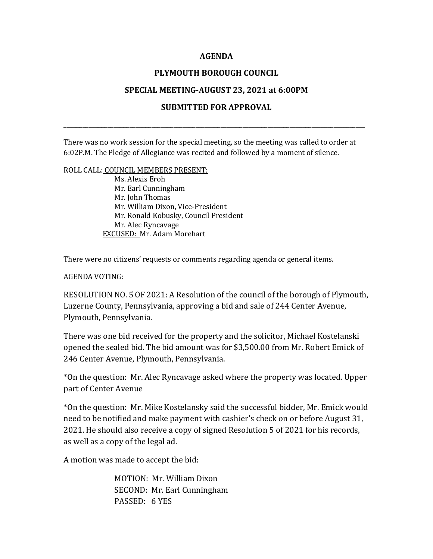## **AGENDA**

# **PLYMOUTH BOROUGH COUNCIL**

## **SPECIAL MEETING-AUGUST 23, 2021 at 6:00PM**

# **SUBMITTED FOR APPROVAL**

\_\_\_\_\_\_\_\_\_\_\_\_\_\_\_\_\_\_\_\_\_\_\_\_\_\_\_\_\_\_\_\_\_\_\_\_\_\_\_\_\_\_\_\_\_\_\_\_\_\_\_\_\_\_\_\_\_\_\_\_\_\_\_\_\_\_\_\_\_\_\_\_\_\_\_\_\_\_\_\_\_\_\_\_\_\_\_\_\_\_\_\_\_\_\_\_

There was no work session for the special meeting, so the meeting was called to order at 6:02P.M. The Pledge of Allegiance was recited and followed by a moment of silence.

#### ROLL CALL: COUNCIL MEMBERS PRESENT:

 Ms. Alexis Eroh Mr. Earl Cunningham Mr. John Thomas Mr. William Dixon, Vice-President Mr. Ronald Kobusky, Council President Mr. Alec Ryncavage EXCUSED: Mr. Adam Morehart

There were no citizens' requests or comments regarding agenda or general items.

#### AGENDA VOTING:

RESOLUTION NO. 5 OF 2021: A Resolution of the council of the borough of Plymouth, Luzerne County, Pennsylvania, approving a bid and sale of 244 Center Avenue, Plymouth, Pennsylvania.

There was one bid received for the property and the solicitor, Michael Kostelanski opened the sealed bid. The bid amount was for \$3,500.00 from Mr. Robert Emick of 246 Center Avenue, Plymouth, Pennsylvania.

\*On the question: Mr. Alec Ryncavage asked where the property was located. Upper part of Center Avenue

\*On the question: Mr. Mike Kostelansky said the successful bidder, Mr. Emick would need to be notified and make payment with cashier's check on or before August 31, 2021. He should also receive a copy of signed Resolution 5 of 2021 for his records, as well as a copy of the legal ad.

A motion was made to accept the bid:

MOTION: Mr. William Dixon SECOND: Mr. Earl Cunningham PASSED: 6 YES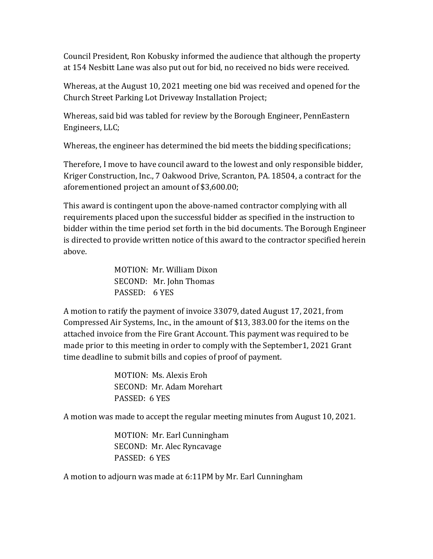Council President, Ron Kobusky informed the audience that although the property at 154 Nesbitt Lane was also put out for bid, no received no bids were received.

Whereas, at the August 10, 2021 meeting one bid was received and opened for the Church Street Parking Lot Driveway Installation Project;

Whereas, said bid was tabled for review by the Borough Engineer, PennEastern Engineers, LLC;

Whereas, the engineer has determined the bid meets the bidding specifications;

Therefore, I move to have council award to the lowest and only responsible bidder, Kriger Construction, Inc., 7 Oakwood Drive, Scranton, PA. 18504, a contract for the aforementioned project an amount of \$3,600.00;

This award is contingent upon the above-named contractor complying with all requirements placed upon the successful bidder as specified in the instruction to bidder within the time period set forth in the bid documents. The Borough Engineer is directed to provide written notice of this award to the contractor specified herein above.

> MOTION: Mr. William Dixon SECOND: Mr. John Thomas PASSED: 6 YES

A motion to ratify the payment of invoice 33079, dated August 17, 2021, from Compressed Air Systems, Inc., in the amount of \$13, 383.00 for the items on the attached invoice from the Fire Grant Account. This payment was required to be made prior to this meeting in order to comply with the September1, 2021 Grant time deadline to submit bills and copies of proof of payment.

> MOTION: Ms. Alexis Eroh SECOND: Mr. Adam Morehart PASSED: 6 YES

A motion was made to accept the regular meeting minutes from August 10, 2021.

MOTION: Mr. Earl Cunningham SECOND: Mr. Alec Ryncavage PASSED: 6 YES

A motion to adjourn was made at 6:11PM by Mr. Earl Cunningham